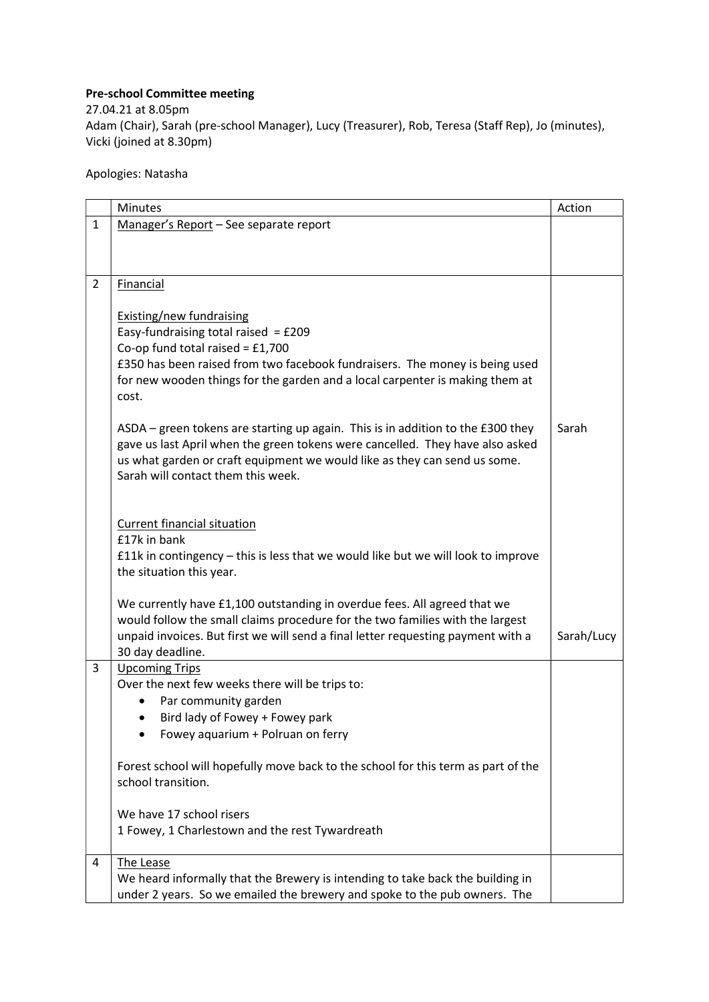## Pre-school Committee meeting

27.04.21 at 8.05pm Adam (Chair), Sarah (pre-school Manager), Lucy (Treasurer), Rob, Teresa (Staff Rep), Jo (minutes), Vicki (joined at 8.30pm)

Apologies: Natasha

|                | <b>Minutes</b>                                                                                                  | Action     |
|----------------|-----------------------------------------------------------------------------------------------------------------|------------|
| $\mathbf{1}$   | Manager's Report - See separate report                                                                          |            |
|                |                                                                                                                 |            |
|                |                                                                                                                 |            |
| $\overline{2}$ | Financial                                                                                                       |            |
|                |                                                                                                                 |            |
|                | <b>Existing/new fundraising</b>                                                                                 |            |
|                | Easy-fundraising total raised = $£209$                                                                          |            |
|                | Co-op fund total raised = $£1,700$                                                                              |            |
|                | £350 has been raised from two facebook fundraisers. The money is being used                                     |            |
|                | for new wooden things for the garden and a local carpenter is making them at                                    |            |
|                | cost.                                                                                                           |            |
|                |                                                                                                                 |            |
|                | ASDA – green tokens are starting up again. This is in addition to the £300 they                                 | Sarah      |
|                | gave us last April when the green tokens were cancelled. They have also asked                                   |            |
|                | us what garden or craft equipment we would like as they can send us some.<br>Sarah will contact them this week. |            |
|                |                                                                                                                 |            |
|                |                                                                                                                 |            |
|                | Current financial situation                                                                                     |            |
|                | £17k in bank                                                                                                    |            |
|                | £11k in contingency – this is less that we would like but we will look to improve                               |            |
|                | the situation this year.                                                                                        |            |
|                |                                                                                                                 |            |
|                | We currently have £1,100 outstanding in overdue fees. All agreed that we                                        |            |
|                | would follow the small claims procedure for the two families with the largest                                   |            |
|                | unpaid invoices. But first we will send a final letter requesting payment with a                                | Sarah/Lucy |
|                | 30 day deadline.                                                                                                |            |
| 3              | <b>Upcoming Trips</b><br>Over the next few weeks there will be trips to:                                        |            |
|                | Par community garden<br>$\bullet$                                                                               |            |
|                | Bird lady of Fowey + Fowey park<br>٠                                                                            |            |
|                | Fowey aquarium + Polruan on ferry                                                                               |            |
|                |                                                                                                                 |            |
|                | Forest school will hopefully move back to the school for this term as part of the                               |            |
|                | school transition.                                                                                              |            |
|                |                                                                                                                 |            |
|                | We have 17 school risers                                                                                        |            |
|                | 1 Fowey, 1 Charlestown and the rest Tywardreath                                                                 |            |
| 4              | The Lease                                                                                                       |            |
|                | We heard informally that the Brewery is intending to take back the building in                                  |            |
|                | under 2 years. So we emailed the brewery and spoke to the pub owners. The                                       |            |